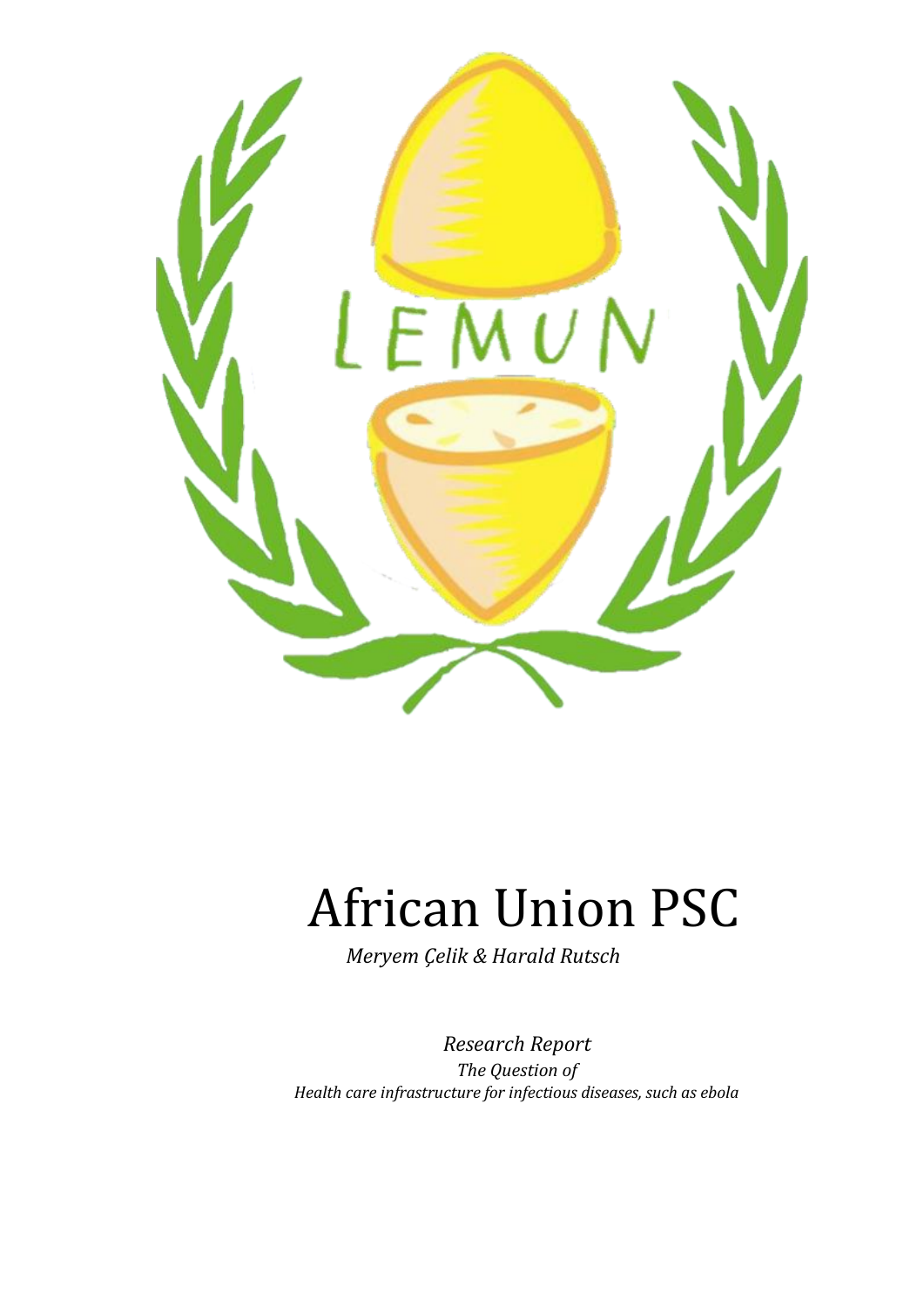

# African Union PSC

*Meryem Çelik & Harald Rutsch*

*Research Report The Question of Health care infrastructure for infectious diseases, such as ebola*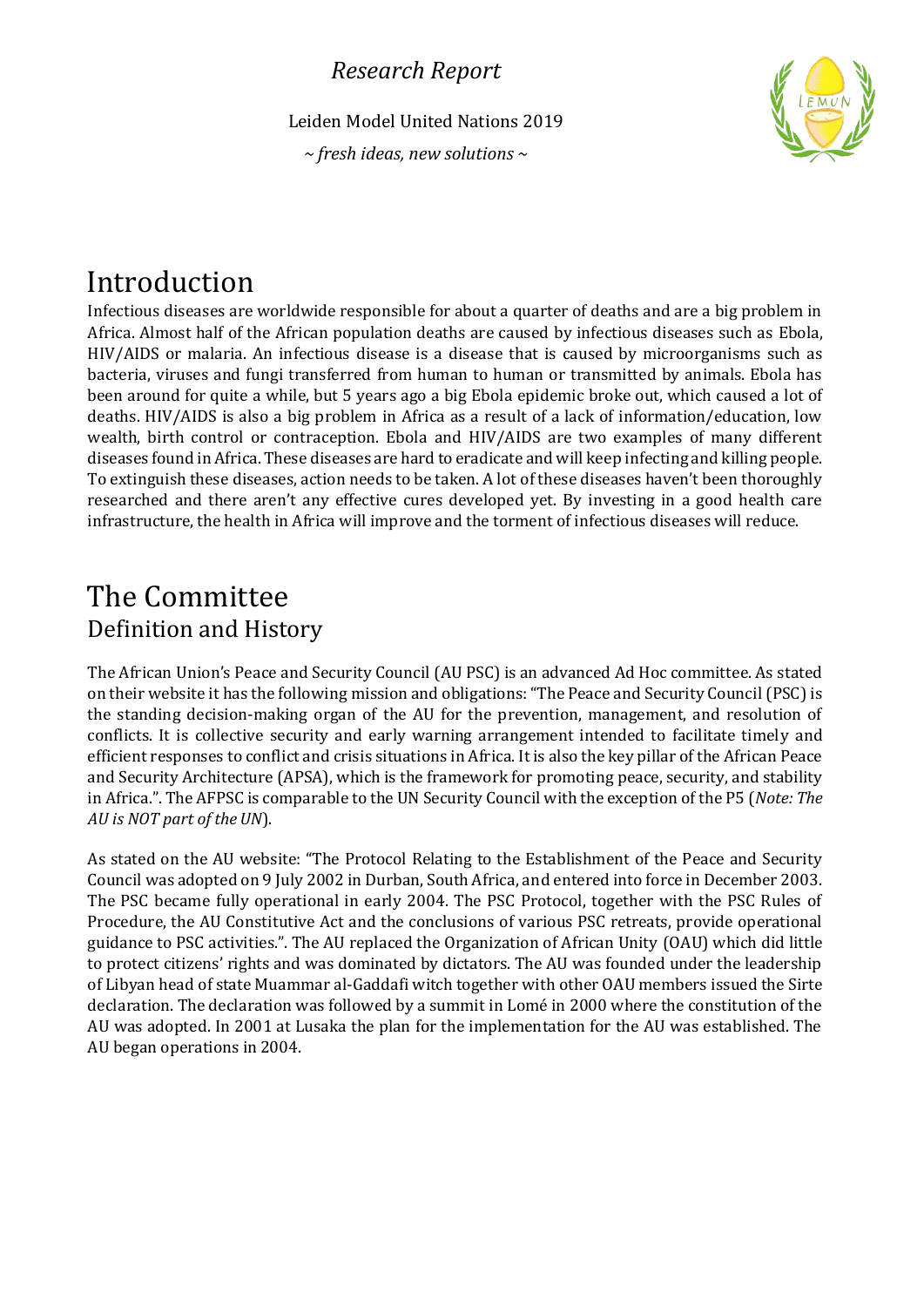Leiden Model United Nations 2019

*~ fresh ideas, new solutions ~*



# Introduction

Infectious diseases are worldwide responsible for about a quarter of deaths and are a big problem in Africa. Almost half of the African population deaths are caused by infectious diseases such as Ebola, HIV/AIDS or malaria. An infectious disease is a disease that is caused by microorganisms such as bacteria, viruses and fungi transferred from human to human or transmitted by animals. Ebola has been around for quite a while, but 5 years ago a big Ebola epidemic broke out, which caused a lot of deaths. HIV/AIDS is also a big problem in Africa as a result of a lack of information/education, low wealth, birth control or contraception. Ebola and HIV/AIDS are two examples of many different diseases found in Africa. These diseases are hard to eradicate and will keep infecting and killing people. To extinguish these diseases, action needs to be taken. A lot of these diseases haven't been thoroughly researched and there aren't any effective cures developed yet. By investing in a good health care infrastructure, the health in Africa will improve and the torment of infectious diseases will reduce.

# The Committee Definition and History

The African Union's Peace and Security Council (AU PSC) is an advanced Ad Hoc committee. As stated on their website it has the following mission and obligations: "The Peace and Security Council (PSC) is the standing decision-making organ of the AU for the prevention, management, and resolution of conflicts. It is collective security and early warning arrangement intended to facilitate timely and efficient responses to conflict and crisis situations in Africa. It is also the key pillar of the African Peace and Security Architecture (APSA), which is the framework for promoting peace, security, and stability in Africa.". The AFPSC is comparable to the UN Security Council with the exception of the P5 (*Note: The AU is NOT part of the UN*).

As stated on the AU website: "The Protocol Relating to the Establishment of the Peace and Security Council was adopted on 9 July 2002 in Durban, South Africa, and entered into force in December 2003. The PSC became fully operational in early 2004. The PSC Protocol, together with the PSC Rules of Procedure, the AU Constitutive Act and the conclusions of various PSC retreats, provide operational guidance to PSC activities.". The AU replaced the Organization of African Unity (OAU) which did little to protect citizens' rights and was dominated by dictators. The AU was founded under the leadership of Libyan head of state Muammar al-Gaddafi witch together with other OAU members issued the Sirte declaration. The declaration was followed by a summit in Lomé in 2000 where the constitution of the AU was adopted. In 2001 at Lusaka the plan for the implementation for the AU was established. The AU began operations in 2004.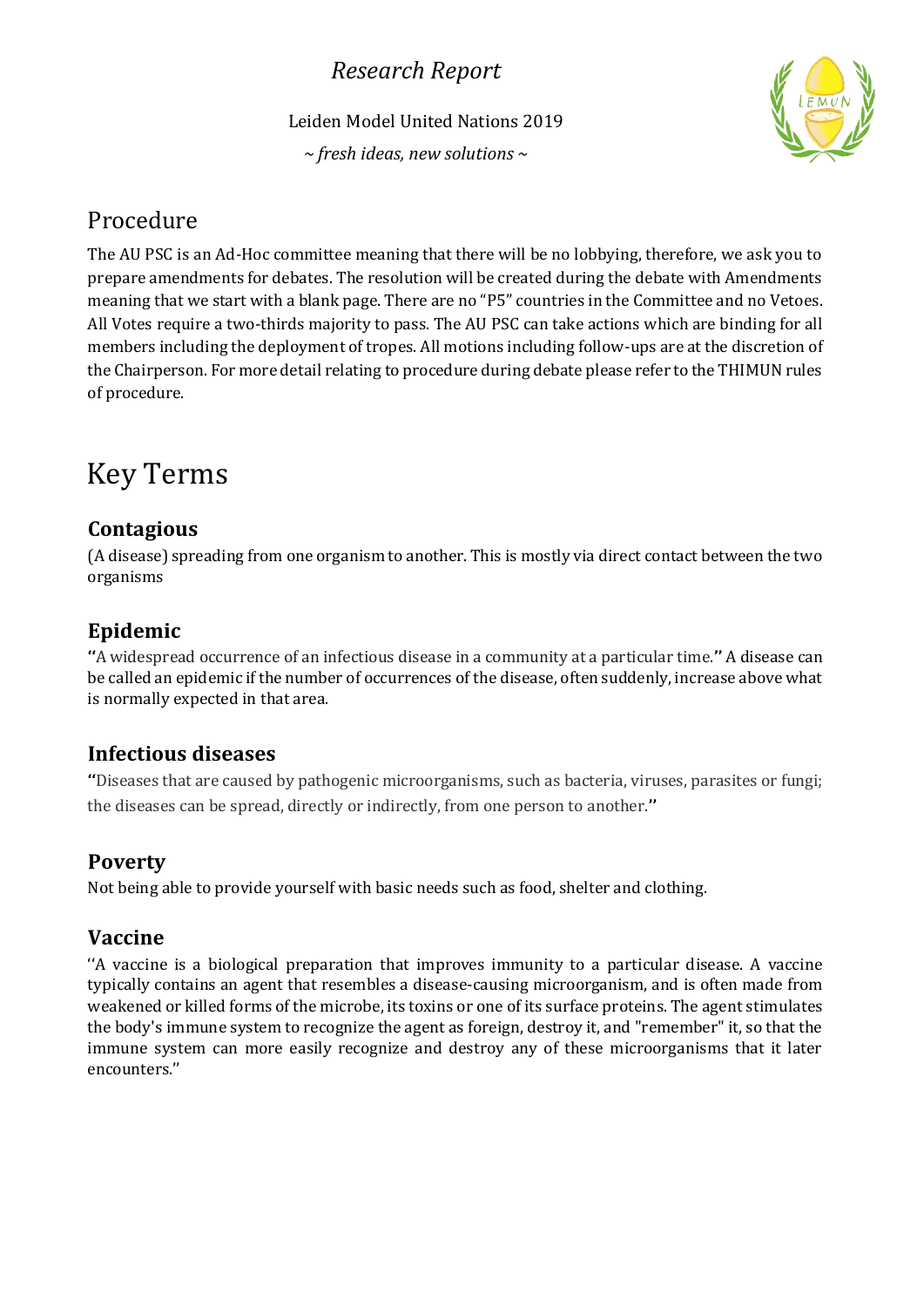Leiden Model United Nations 2019

*~ fresh ideas, new solutions ~*



### Procedure

The AU PSC is an Ad-Hoc committee meaning that there will be no lobbying, therefore, we ask you to prepare amendments for debates. The resolution will be created during the debate with Amendments meaning that we start with a blank page. There are no "P5" countries in the Committee and no Vetoes. All Votes require a two-thirds majority to pass. The AU PSC can take actions which are binding for all members including the deployment of tropes. All motions including follow-ups are at the discretion of the Chairperson. For more detail relating to procedure during debate please refer to the THIMUN rules of procedure.

# Key Terms

#### **Contagious**

(A disease) spreading from one organism to another. This is mostly via direct contact between the two organisms

#### **Epidemic**

**''**A widespread occurrence of an infectious disease in a community at a particular time.**''** A disease can be called an epidemic if the number of occurrences of the disease, often suddenly, increase above what is normally expected in that area.

#### **Infectious diseases**

**''**Diseases that are caused by pathogenic microorganisms, such as bacteria, viruses, parasites or fungi; the diseases can be spread, directly or indirectly, from one person to another.**''**

### **Poverty**

Not being able to provide yourself with basic needs such as food, shelter and clothing.

#### **Vaccine**

''A vaccine is a biological preparation that improves immunity to a particular disease. A vaccine typically contains an agent that resembles a disease-causing microorganism, and is often made from weakened or killed forms of the microbe, its toxins or one of its surface proteins. The agent stimulates the body's immune system to recognize the agent as foreign, destroy it, and "remember" it, so that the immune system can more easily recognize and destroy any of these microorganisms that it later encounters.''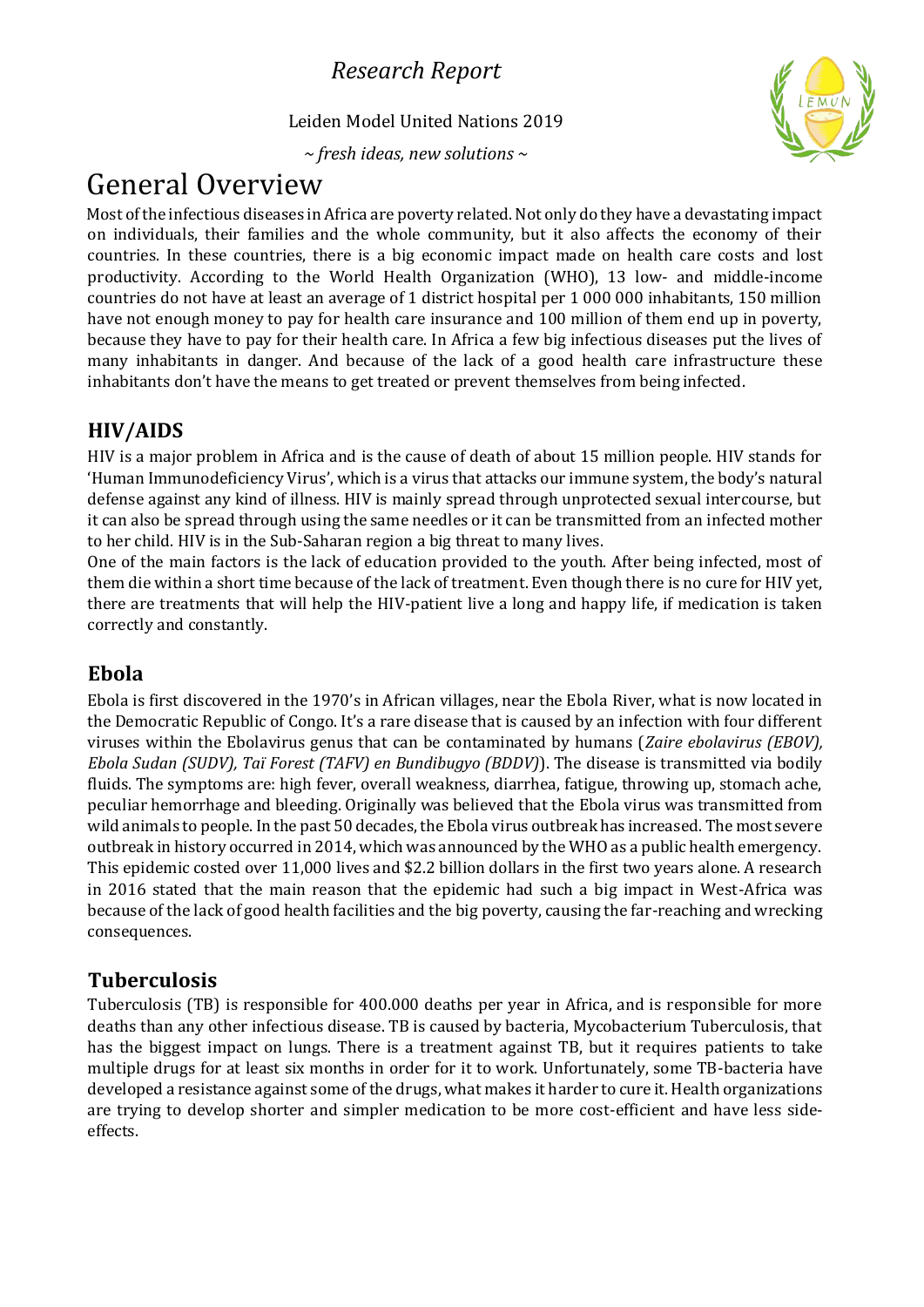Leiden Model United Nations 2019

*~ fresh ideas, new solutions ~*



# General Overview

Most of the infectious diseases in Africa are poverty related. Not only do they have a devastating impact on individuals, their families and the whole community, but it also affects the economy of their countries. In these countries, there is a big economic impact made on health care costs and lost productivity. According to the World Health Organization (WHO), 13 low- and middle-income countries do not have at least an average of 1 district hospital per 1 000 000 inhabitants, 150 million have not enough money to pay for health care insurance and 100 million of them end up in poverty, because they have to pay for their health care. In Africa a few big infectious diseases put the lives of many inhabitants in danger. And because of the lack of a good health care infrastructure these inhabitants don't have the means to get treated or prevent themselves from being infected.

#### **HIV/AIDS**

HIV is a major problem in Africa and is the cause of death of about 15 million people. HIV stands for 'Human Immunodeficiency Virus', which is a virus that attacks our immune system, the body's natural defense against any kind of illness. HIV is mainly spread through unprotected sexual intercourse, but it can also be spread through using the same needles or it can be transmitted from an infected mother to her child. HIV is in the Sub-Saharan region a big threat to many lives.

One of the main factors is the lack of education provided to the youth. After being infected, most of them die within a short time because of the lack of treatment. Even though there is no cure for HIV yet, there are treatments that will help the HIV-patient live a long and happy life, if medication is taken correctly and constantly.

### **Ebola**

Ebola is first discovered in the 1970's in African villages, near the Ebola River, what is now located in the Democratic Republic of Congo. It's a rare disease that is caused by an infection with four different viruses within the Ebolavirus genus that can be contaminated by humans (*Zaire ebolavirus (EBOV), Ebola Sudan (SUDV), Taï Forest (TAFV) en Bundibugyo (BDDV)*). The disease is transmitted via bodily fluids. The symptoms are: high fever, overall weakness, diarrhea, fatigue, throwing up, stomach ache, peculiar hemorrhage and bleeding. Originally was believed that the Ebola virus was transmitted from wild animals to people. In the past 50 decades, the Ebola virus outbreak has increased. The most severe outbreak in history occurred in 2014, which was announced by the WHO as a public health emergency. This epidemic costed over 11,000 lives and \$2.2 billion dollars in the first two years alone. A research in 2016 stated that the main reason that the epidemic had such a big impact in West-Africa was because of the lack of good health facilities and the big poverty, causing the far-reaching and wrecking consequences.

#### **Tuberculosis**

Tuberculosis (TB) is responsible for 400.000 deaths per year in Africa, and is responsible for more deaths than any other infectious disease. TB is caused by bacteria, Mycobacterium Tuberculosis, that has the biggest impact on lungs. There is a treatment against TB, but it requires patients to take multiple drugs for at least six months in order for it to work. Unfortunately, some TB-bacteria have developed a resistance against some of the drugs, what makes it harder to cure it. Health organizations are trying to develop shorter and simpler medication to be more cost-efficient and have less sideeffects.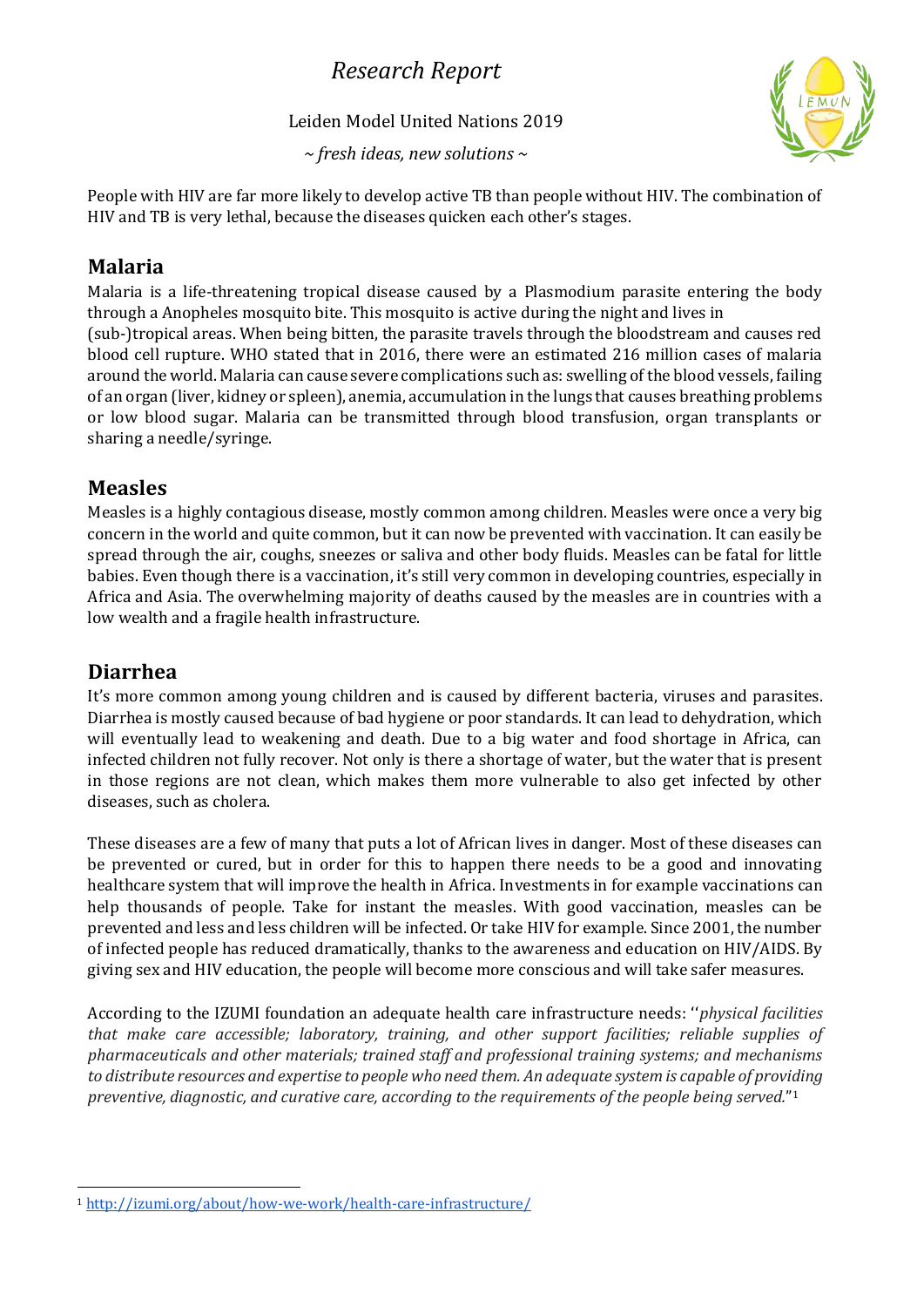#### Leiden Model United Nations 2019

*~ fresh ideas, new solutions ~*



People with HIV are far more likely to develop active TB than people without HIV. The combination of HIV and TB is very lethal, because the diseases quicken each other's stages.

#### **Malaria**

Malaria is a life-threatening tropical disease caused by a Plasmodium parasite entering the body through a Anopheles mosquito bite. This mosquito is active during the night and lives in (sub-)tropical areas. When being bitten, the parasite travels through the bloodstream and causes red blood cell rupture. WHO stated that in 2016, there were an estimated 216 million cases of malaria around the world. Malaria can cause severe complications such as: swelling of the blood vessels, failing of an organ (liver, kidney or spleen), anemia, accumulation in the lungs that causes breathing problems or low blood sugar. Malaria can be transmitted through blood transfusion, organ transplants or sharing a needle/syringe.

#### **Measles**

Measles is a highly contagious disease, mostly common among children. Measles were once a very big concern in the world and quite common, but it can now be prevented with vaccination. It can easily be spread through the air, coughs, sneezes or saliva and other body fluids. Measles can be fatal for little babies. Even though there is a vaccination, it's still very common in developing countries, especially in Africa and Asia. The overwhelming majority of deaths caused by the measles are in countries with a low wealth and a fragile health infrastructure.

### **Diarrhea**

It's more common among young children and is caused by different bacteria, viruses and parasites. Diarrhea is mostly caused because of bad hygiene or poor standards. It can lead to dehydration, which will eventually lead to weakening and death. Due to a big water and food shortage in Africa, can infected children not fully recover. Not only is there a shortage of water, but the water that is present in those regions are not clean, which makes them more vulnerable to also get infected by other diseases, such as cholera.

These diseases are a few of many that puts a lot of African lives in danger. Most of these diseases can be prevented or cured, but in order for this to happen there needs to be a good and innovating healthcare system that will improve the health in Africa. Investments in for example vaccinations can help thousands of people. Take for instant the measles. With good vaccination, measles can be prevented and less and less children will be infected. Or take HIV for example. Since 2001, the number of infected people has reduced dramatically, thanks to the awareness and education on HIV/AIDS. By giving sex and HIV education, the people will become more conscious and will take safer measures.

According to the IZUMI foundation an adequate health care infrastructure needs: ''*physical facilities that make care accessible; laboratory, training, and other support facilities; reliable supplies of pharmaceuticals and other materials; trained staff and professional training systems; and mechanisms to distribute resources and expertise to people who need them. An adequate system is capable of providing preventive, diagnostic, and curative care, according to the requirements of the people being served.*" 1

<sup>1</sup> <http://izumi.org/about/how-we-work/health-care-infrastructure/>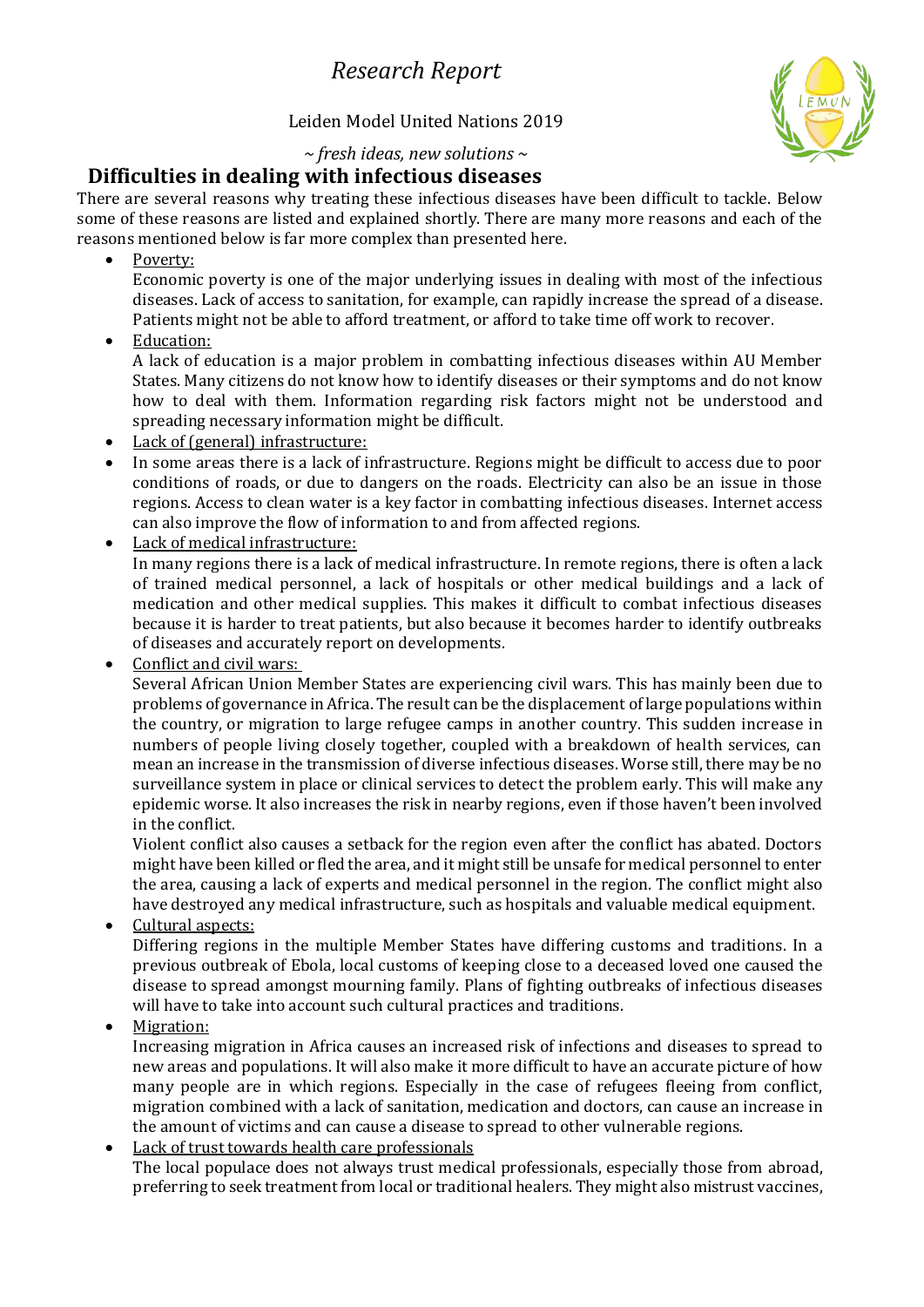#### Leiden Model United Nations 2019



*~ fresh ideas, new solutions ~*

#### **Difficulties in dealing with infectious diseases**

There are several reasons why treating these infectious diseases have been difficult to tackle. Below some of these reasons are listed and explained shortly. There are many more reasons and each of the reasons mentioned below is far more complex than presented here.

Poverty:

Economic poverty is one of the major underlying issues in dealing with most of the infectious diseases. Lack of access to sanitation, for example, can rapidly increase the spread of a disease. Patients might not be able to afford treatment, or afford to take time off work to recover.

• Education:

A lack of education is a major problem in combatting infectious diseases within AU Member States. Many citizens do not know how to identify diseases or their symptoms and do not know how to deal with them. Information regarding risk factors might not be understood and spreading necessary information might be difficult.

- Lack of (general) infrastructure:
- In some areas there is a lack of infrastructure. Regions might be difficult to access due to poor conditions of roads, or due to dangers on the roads. Electricity can also be an issue in those regions. Access to clean water is a key factor in combatting infectious diseases. Internet access can also improve the flow of information to and from affected regions.
- Lack of medical infrastructure: In many regions there is a lack of medical infrastructure. In remote regions, there is often a lack of trained medical personnel, a lack of hospitals or other medical buildings and a lack of medication and other medical supplies. This makes it difficult to combat infectious diseases because it is harder to treat patients, but also because it becomes harder to identify outbreaks of diseases and accurately report on developments.
- Conflict and civil wars:

Several African Union Member States are experiencing civil wars. This has mainly been due to problems of governance in Africa. The result can be the displacement of large populations within the country, or migration to large refugee camps in another country. This sudden increase in numbers of people living closely together, coupled with a breakdown of health services, can mean an increase in the transmission of diverse infectious diseases. Worse still, there may be no surveillance system in place or clinical services to detect the problem early. This will make any epidemic worse. It also increases the risk in nearby regions, even if those haven't been involved in the conflict.

Violent conflict also causes a setback for the region even after the conflict has abated. Doctors might have been killed or fled the area, and it might still be unsafe for medical personnel to enter the area, causing a lack of experts and medical personnel in the region. The conflict might also have destroyed any medical infrastructure, such as hospitals and valuable medical equipment.

• Cultural aspects:

Differing regions in the multiple Member States have differing customs and traditions. In a previous outbreak of Ebola, local customs of keeping close to a deceased loved one caused the disease to spread amongst mourning family. Plans of fighting outbreaks of infectious diseases will have to take into account such cultural practices and traditions.

• Migration:

Increasing migration in Africa causes an increased risk of infections and diseases to spread to new areas and populations. It will also make it more difficult to have an accurate picture of how many people are in which regions. Especially in the case of refugees fleeing from conflict, migration combined with a lack of sanitation, medication and doctors, can cause an increase in the amount of victims and can cause a disease to spread to other vulnerable regions.

• Lack of trust towards health care professionals The local populace does not always trust medical professionals, especially those from abroad, preferring to seek treatment from local or traditional healers. They might also mistrust vaccines,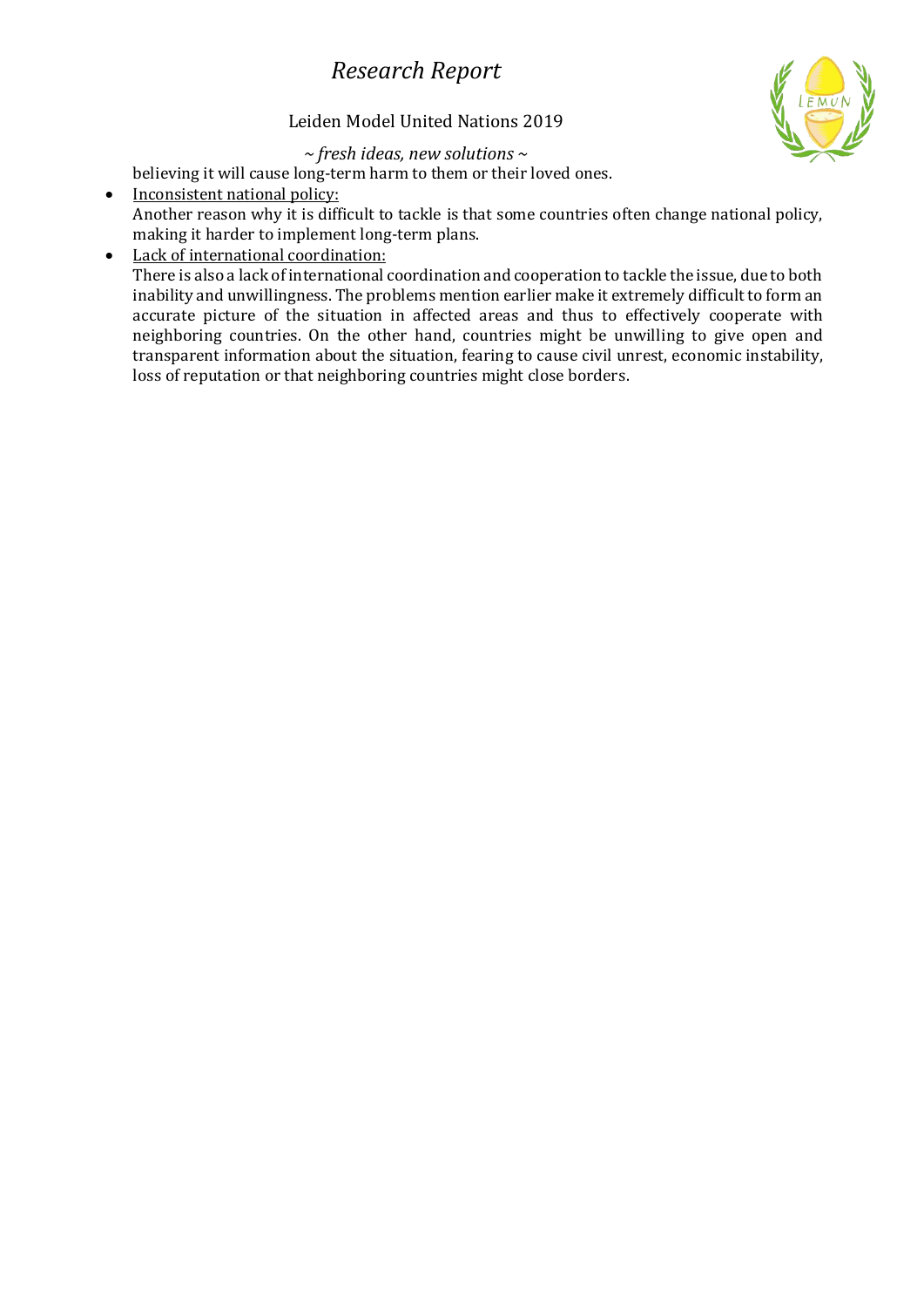#### Leiden Model United Nations 2019



*~ fresh ideas, new solutions ~*

believing it will cause long-term harm to them or their loved ones.

• Inconsistent national policy: Another reason why it is difficult to tackle is that some countries often change national policy, making it harder to implement long-term plans.

### • Lack of international coordination:

There is also a lack of international coordination and cooperation to tackle the issue, due to both inability and unwillingness. The problems mention earlier make it extremely difficult to form an accurate picture of the situation in affected areas and thus to effectively cooperate with neighboring countries. On the other hand, countries might be unwilling to give open and transparent information about the situation, fearing to cause civil unrest, economic instability, loss of reputation or that neighboring countries might close borders.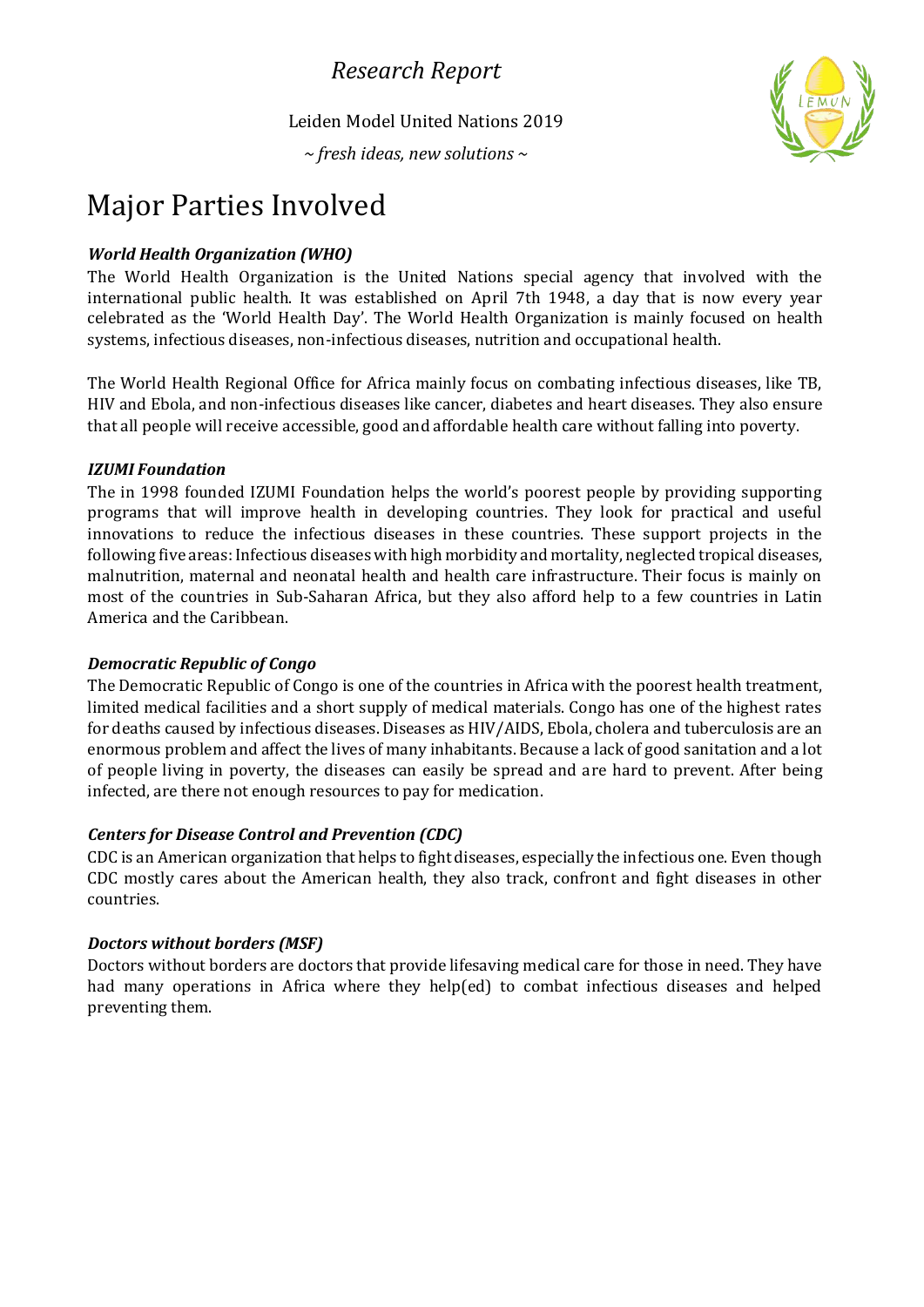Leiden Model United Nations 2019

*~ fresh ideas, new solutions ~*



# Major Parties Involved

#### *World Health Organization (WHO)*

The World Health Organization is the United Nations special agency that involved with the international public health. It was established on April 7th 1948, a day that is now every year celebrated as the 'World Health Day'. The World Health Organization is mainly focused on health systems, infectious diseases, non-infectious diseases, nutrition and occupational health.

The World Health Regional Office for Africa mainly focus on combating infectious diseases, like TB, HIV and Ebola, and non-infectious diseases like cancer, diabetes and heart diseases. They also ensure that all people will receive accessible, good and affordable health care without falling into poverty.

#### *IZUMI Foundation*

The in 1998 founded IZUMI Foundation helps the world's poorest people by providing supporting programs that will improve health in developing countries. They look for practical and useful innovations to reduce the infectious diseases in these countries. These support projects in the following five areas: Infectious diseases with high morbidity and mortality, neglected tropical diseases, malnutrition, maternal and neonatal health and health care infrastructure. Their focus is mainly on most of the countries in Sub-Saharan Africa, but they also afford help to a few countries in Latin America and the Caribbean.

#### *Democratic Republic of Congo*

The Democratic Republic of Congo is one of the countries in Africa with the poorest health treatment, limited medical facilities and a short supply of medical materials. Congo has one of the highest rates for deaths caused by infectious diseases. Diseases as HIV/AIDS, Ebola, cholera and tuberculosis are an enormous problem and affect the lives of many inhabitants. Because a lack of good sanitation and a lot of people living in poverty, the diseases can easily be spread and are hard to prevent. After being infected, are there not enough resources to pay for medication.

#### *Centers for Disease Control and Prevention (CDC)*

CDC is an American organization that helps to fight diseases, especially the infectious one. Even though CDC mostly cares about the American health, they also track, confront and fight diseases in other countries.

#### *Doctors without borders (MSF)*

Doctors without borders are doctors that provide lifesaving medical care for those in need. They have had many operations in Africa where they help(ed) to combat infectious diseases and helped preventing them.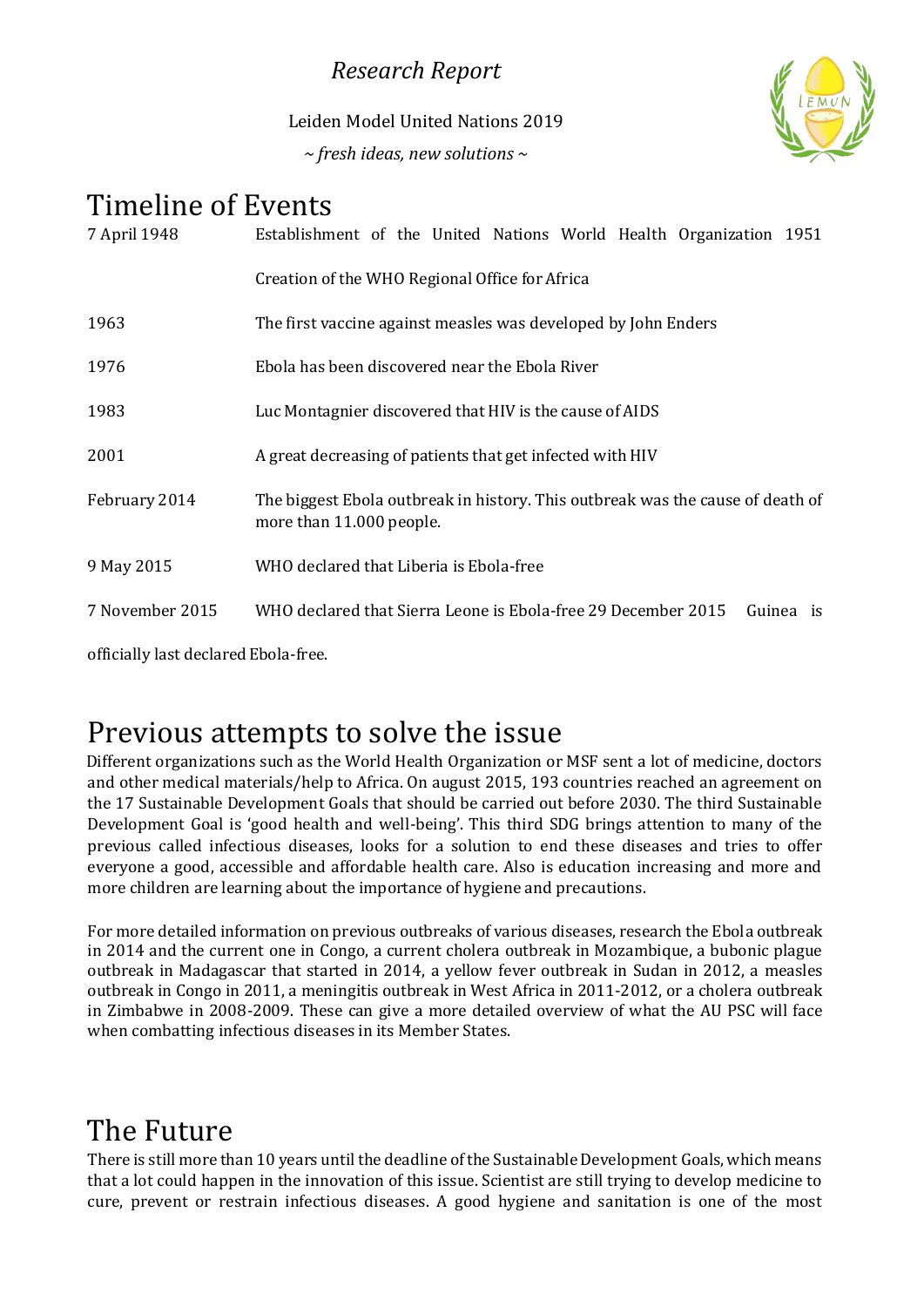Leiden Model United Nations 2019 *~ fresh ideas, new solutions ~*



# Timeline of Events

| 7 April 1948    | Establishment of the United Nations World Health Organization 1951                                         |
|-----------------|------------------------------------------------------------------------------------------------------------|
|                 | Creation of the WHO Regional Office for Africa                                                             |
| 1963            | The first vaccine against measles was developed by John Enders                                             |
| 1976            | Ebola has been discovered near the Ebola River                                                             |
| 1983            | Luc Montagnier discovered that HIV is the cause of AIDS                                                    |
| 2001            | A great decreasing of patients that get infected with HIV                                                  |
| February 2014   | The biggest Ebola outbreak in history. This outbreak was the cause of death of<br>more than 11.000 people. |
| 9 May 2015      | WHO declared that Liberia is Ebola-free                                                                    |
| 7 November 2015 | WHO declared that Sierra Leone is Ebola-free 29 December 2015<br>Guinea is                                 |

officially last declared Ebola-free.

# Previous attempts to solve the issue

Different organizations such as the World Health Organization or MSF sent a lot of medicine, doctors and other medical materials/help to Africa. On august 2015, 193 countries reached an agreement on the 17 Sustainable Development Goals that should be carried out before 2030. The third Sustainable Development Goal is 'good health and well-being'. This third SDG brings attention to many of the previous called infectious diseases, looks for a solution to end these diseases and tries to offer everyone a good, accessible and affordable health care. Also is education increasing and more and more children are learning about the importance of hygiene and precautions.

For more detailed information on previous outbreaks of various diseases, research the Ebola outbreak in 2014 and the current one in Congo, a current cholera outbreak in Mozambique, a bubonic plague outbreak in Madagascar that started in 2014, a yellow fever outbreak in Sudan in 2012, a measles outbreak in Congo in 2011, a meningitis outbreak in West Africa in 2011-2012, or a cholera outbreak in Zimbabwe in 2008-2009. These can give a more detailed overview of what the AU PSC will face when combatting infectious diseases in its Member States.

# The Future

There is still more than 10 years until the deadline of the Sustainable Development Goals, which means that a lot could happen in the innovation of this issue. Scientist are still trying to develop medicine to cure, prevent or restrain infectious diseases. A good hygiene and sanitation is one of the most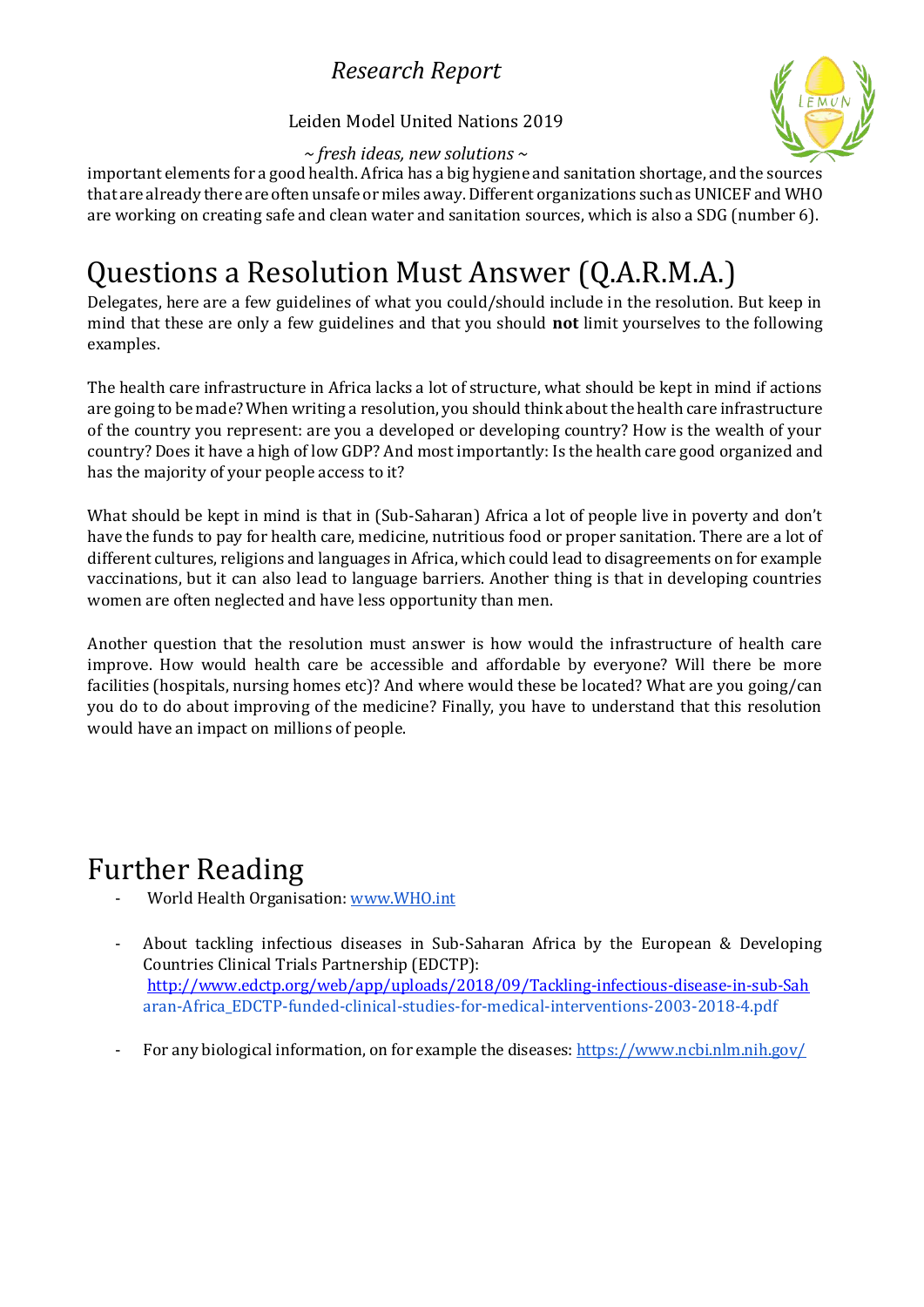

#### Leiden Model United Nations 2019

*~ fresh ideas, new solutions ~*

important elements for a good health. Africa has a big hygiene and sanitation shortage, and the sources that are already there are often unsafe or miles away.Different organizations such as UNICEF and WHO are working on creating safe and clean water and sanitation sources, which is also a SDG (number 6).

# Questions a Resolution Must Answer (Q.A.R.M.A.)

Delegates, here are a few guidelines of what you could/should include in the resolution. But keep in mind that these are only a few guidelines and that you should **not** limit yourselves to the following examples.

The health care infrastructure in Africa lacks a lot of structure, what should be kept in mind if actions are going to be made? When writing a resolution, you should think about the health care infrastructure of the country you represent: are you a developed or developing country? How is the wealth of your country? Does it have a high of low GDP? And most importantly: Is the health care good organized and has the majority of your people access to it?

What should be kept in mind is that in (Sub-Saharan) Africa a lot of people live in poverty and don't have the funds to pay for health care, medicine, nutritious food or proper sanitation. There are a lot of different cultures, religions and languages in Africa, which could lead to disagreements on for example vaccinations, but it can also lead to language barriers. Another thing is that in developing countries women are often neglected and have less opportunity than men.

Another question that the resolution must answer is how would the infrastructure of health care improve. How would health care be accessible and affordable by everyone? Will there be more facilities (hospitals, nursing homes etc)? And where would these be located? What are you going/can you do to do about improving of the medicine? Finally, you have to understand that this resolution would have an impact on millions of people.

# Further Reading

- World Health Organisation: [www.WHO.int](http://www.who.int/)
- About tackling infectious diseases in Sub-Saharan Africa by the European & Developing Countries Clinical Trials Partnership (EDCTP): <http://www.edctp.org/web/app/uploads/2018/09/Tackling-infectious-disease-in-sub-Sah> [aran-Africa\\_EDCTP-funded-clinical-studies-for-medical-interventions-2003-2018-4.pdf](http://www.edctp.org/web/app/uploads/2018/09/Tackling-infectious-disease-in-sub-Saharan-Africa_EDCTP-funded-clinical-studies-for-medical-interventions-2003-2018-4.pdf)
- For any biological information, on for example the diseases: <https://www.ncbi.nlm.nih.gov/>